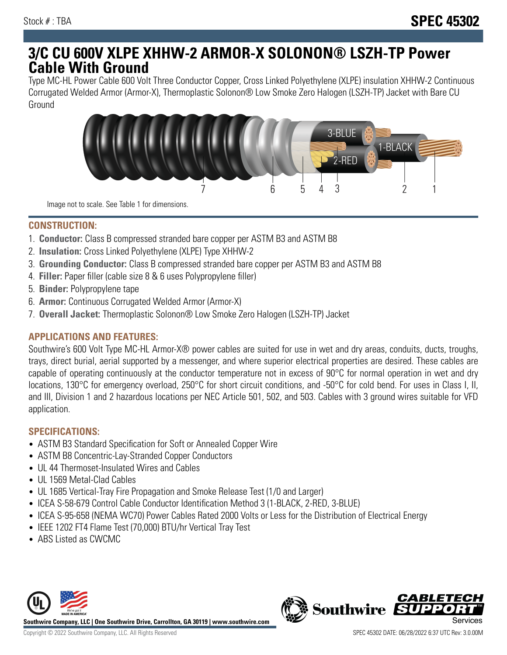# **3/C CU 600V XLPE XHHW-2 ARMOR-X SOLONON® LSZH-TP Power Cable With Ground**

Type MC-HL Power Cable 600 Volt Three Conductor Copper, Cross Linked Polyethylene (XLPE) insulation XHHW-2 Continuous Corrugated Welded Armor (Armor-X), Thermoplastic Solonon® Low Smoke Zero Halogen (LSZH-TP) Jacket with Bare CU Ground



Image not to scale. See Table 1 for dimensions.

### **CONSTRUCTION:**

- 1. **Conductor:** Class B compressed stranded bare copper per ASTM B3 and ASTM B8
- 2. **Insulation:** Cross Linked Polyethylene (XLPE) Type XHHW-2
- 3. **Grounding Conductor:** Class B compressed stranded bare copper per ASTM B3 and ASTM B8
- 4. **Filler:** Paper filler (cable size 8 & 6 uses Polypropylene filler)
- 5. **Binder:** Polypropylene tape
- 6. **Armor:** Continuous Corrugated Welded Armor (Armor-X)
- 7. **Overall Jacket:** Thermoplastic Solonon® Low Smoke Zero Halogen (LSZH-TP) Jacket

## **APPLICATIONS AND FEATURES:**

Southwire's 600 Volt Type MC-HL Armor-X® power cables are suited for use in wet and dry areas, conduits, ducts, troughs, trays, direct burial, aerial supported by a messenger, and where superior electrical properties are desired. These cables are capable of operating continuously at the conductor temperature not in excess of 90°C for normal operation in wet and dry locations, 130°C for emergency overload, 250°C for short circuit conditions, and -50°C for cold bend. For uses in Class I, II, and III, Division 1 and 2 hazardous locations per NEC Article 501, 502, and 503. Cables with 3 ground wires suitable for VFD application.

#### **SPECIFICATIONS:**

- ASTM B3 Standard Specification for Soft or Annealed Copper Wire
- ASTM B8 Concentric-Lay-Stranded Copper Conductors
- UL 44 Thermoset-Insulated Wires and Cables
- UL 1569 Metal-Clad Cables
- UL 1685 Vertical-Tray Fire Propagation and Smoke Release Test (1/0 and Larger)
- ICEA S-58-679 Control Cable Conductor Identification Method 3 (1-BLACK, 2-RED, 3-BLUE)
- ICEA S-95-658 (NEMA WC70) Power Cables Rated 2000 Volts or Less for the Distribution of Electrical Energy
- IEEE 1202 FT4 Flame Test (70,000) BTU/hr Vertical Tray Test
- ABS Listed as CWCMC